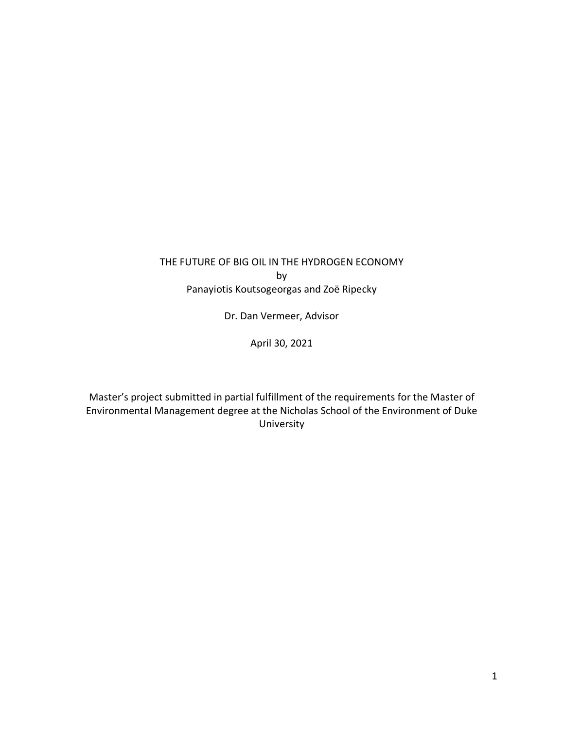## THE FUTURE OF BIG OIL IN THE HYDROGEN ECONOMY by Panayiotis Koutsogeorgas and Zoë Ripecky

Dr. Dan Vermeer, Advisor

April 30, 2021

Master's project submitted in partial fulfillment of the requirements for the Master of Environmental Management degree at the Nicholas School of the Environment of Duke University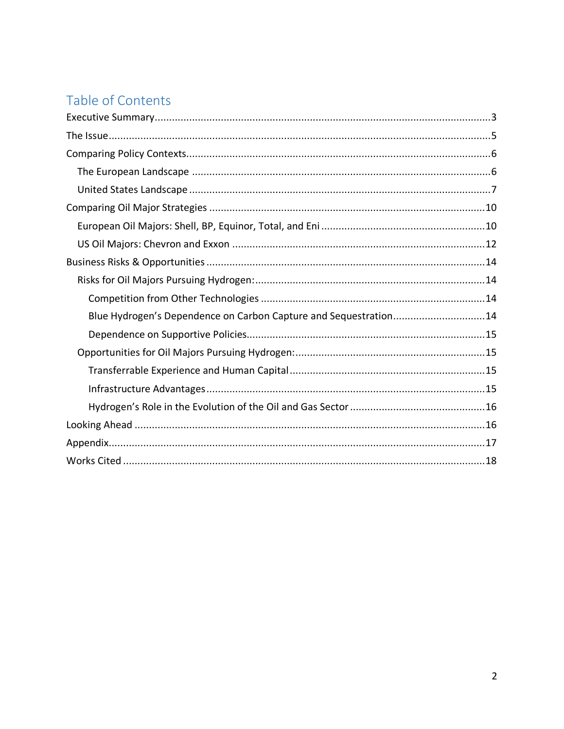# Table of Contents

| Blue Hydrogen's Dependence on Carbon Capture and Sequestration14 |
|------------------------------------------------------------------|
|                                                                  |
|                                                                  |
|                                                                  |
|                                                                  |
|                                                                  |
|                                                                  |
|                                                                  |
|                                                                  |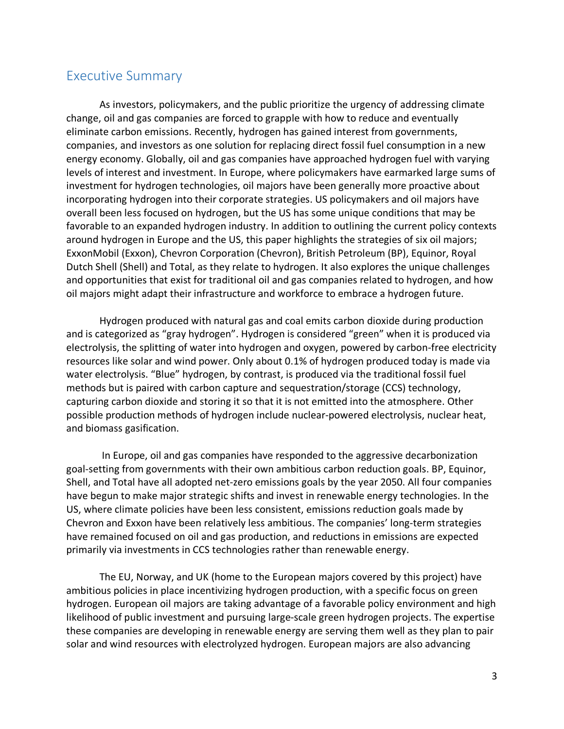## Executive Summary

As investors, policymakers, and the public prioritize the urgency of addressing climate change, oil and gas companies are forced to grapple with how to reduce and eventually eliminate carbon emissions. Recently, hydrogen has gained interest from governments, companies, and investors as one solution for replacing direct fossil fuel consumption in a new energy economy. Globally, oil and gas companies have approached hydrogen fuel with varying levels of interest and investment. In Europe, where policymakers have earmarked large sums of investment for hydrogen technologies, oil majors have been generally more proactive about incorporating hydrogen into their corporate strategies. US policymakers and oil majors have overall been less focused on hydrogen, but the US has some unique conditions that may be favorable to an expanded hydrogen industry. In addition to outlining the current policy contexts around hydrogen in Europe and the US, this paper highlights the strategies of six oil majors; ExxonMobil (Exxon), Chevron Corporation (Chevron), British Petroleum (BP), Equinor, Royal Dutch Shell (Shell) and Total, as they relate to hydrogen. It also explores the unique challenges and opportunities that exist for traditional oil and gas companies related to hydrogen, and how oil majors might adapt their infrastructure and workforce to embrace a hydrogen future.

Hydrogen produced with natural gas and coal emits carbon dioxide during production and is categorized as "gray hydrogen". Hydrogen is considered "green" when it is produced via electrolysis, the splitting of water into hydrogen and oxygen, powered by carbon-free electricity resources like solar and wind power. Only about 0.1% of hydrogen produced today is made via water electrolysis. "Blue" hydrogen, by contrast, is produced via the traditional fossil fuel methods but is paired with carbon capture and sequestration/storage (CCS) technology, capturing carbon dioxide and storing it so that it is not emitted into the atmosphere. Other possible production methods of hydrogen include nuclear-powered electrolysis, nuclear heat, and biomass gasification.

In Europe, oil and gas companies have responded to the aggressive decarbonization goal-setting from governments with their own ambitious carbon reduction goals. BP, Equinor, Shell, and Total have all adopted net-zero emissions goals by the year 2050. All four companies have begun to make major strategic shifts and invest in renewable energy technologies. In the US, where climate policies have been less consistent, emissions reduction goals made by Chevron and Exxon have been relatively less ambitious. The companies' long-term strategies have remained focused on oil and gas production, and reductions in emissions are expected primarily via investments in CCS technologies rather than renewable energy.

The EU, Norway, and UK (home to the European majors covered by this project) have ambitious policies in place incentivizing hydrogen production, with a specific focus on green hydrogen. European oil majors are taking advantage of a favorable policy environment and high likelihood of public investment and pursuing large-scale green hydrogen projects. The expertise these companies are developing in renewable energy are serving them well as they plan to pair solar and wind resources with electrolyzed hydrogen. European majors are also advancing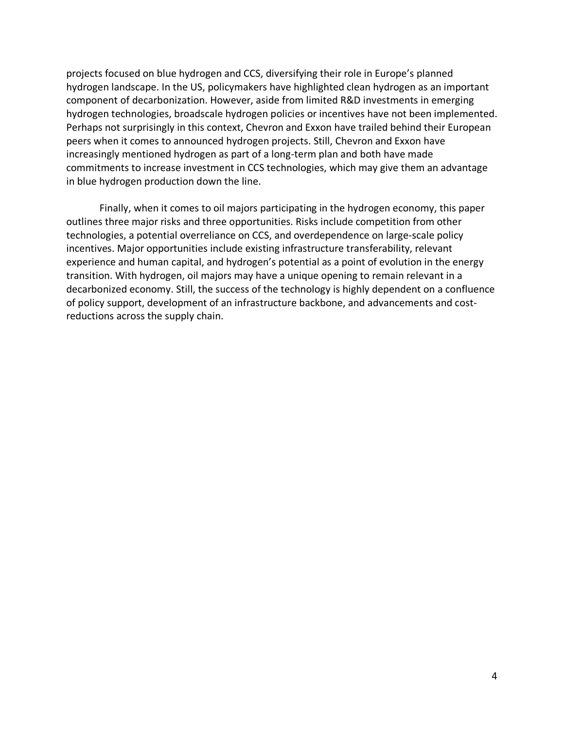projects focused on blue hydrogen and CCS, diversifying their role in Europe's planned hydrogen landscape. In the US, policymakers have highlighted clean hydrogen as an important component of decarbonization. However, aside from limited R&D investments in emerging hydrogen technologies, broadscale hydrogen policies or incentives have not been implemented. Perhaps not surprisingly in this context, Chevron and Exxon have trailed behind their European peers when it comes to announced hydrogen projects. Still, Chevron and Exxon have increasingly mentioned hydrogen as part of a long-term plan and both have made commitments to increase investment in CCS technologies, which may give them an advantage in blue hydrogen production down the line.

Finally, when it comes to oil majors participating in the hydrogen economy, this paper outlines three major risks and three opportunities. Risks include competition from other technologies, a potential overreliance on CCS, and overdependence on large-scale policy incentives. Major opportunities include existing infrastructure transferability, relevant experience and human capital, and hydrogen's potential as a point of evolution in the energy transition. With hydrogen, oil majors may have a unique opening to remain relevant in a decarbonized economy. Still, the success of the technology is highly dependent on a confluence of policy support, development of an infrastructure backbone, and advancements and costreductions across the supply chain.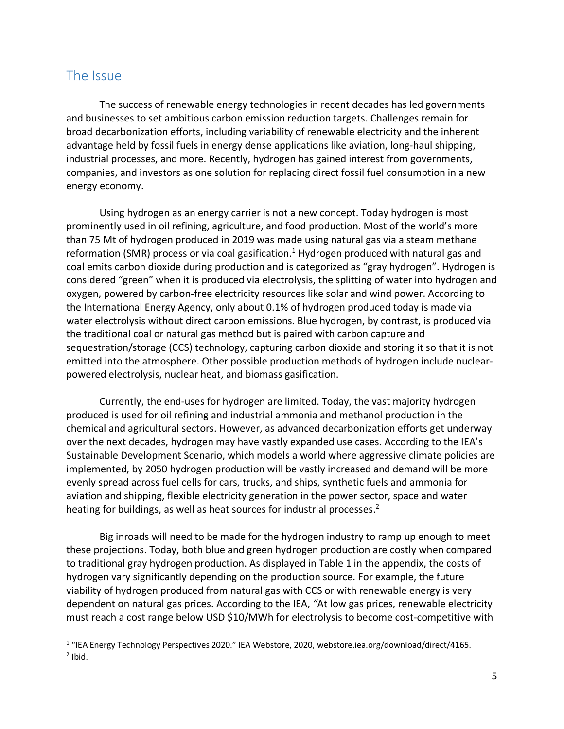## The Issue

The success of renewable energy technologies in recent decades has led governments and businesses to set ambitious carbon emission reduction targets. Challenges remain for broad decarbonization efforts, including variability of renewable electricity and the inherent advantage held by fossil fuels in energy dense applications like aviation, long-haul shipping, industrial processes, and more. Recently, hydrogen has gained interest from governments, companies, and investors as one solution for replacing direct fossil fuel consumption in a new energy economy.

Using hydrogen as an energy carrier is not a new concept. Today hydrogen is most prominently used in oil refining, agriculture, and food production. Most of the world's more than 75 Mt of hydrogen produced in 2019 was made using natural gas via a steam methane reformation (SMR) process or via coal gasification.<sup>1</sup> Hydrogen produced with natural gas and coal emits carbon dioxide during production and is categorized as "gray hydrogen". Hydrogen is considered "green" when it is produced via electrolysis, the splitting of water into hydrogen and oxygen, powered by carbon-free electricity resources like solar and wind power. According to the International Energy Agency, only about 0.1% of hydrogen produced today is made via water electrolysis without direct carbon emissions. Blue hydrogen, by contrast, is produced via the traditional coal or natural gas method but is paired with carbon capture and sequestration/storage (CCS) technology, capturing carbon dioxide and storing it so that it is not emitted into the atmosphere. Other possible production methods of hydrogen include nuclearpowered electrolysis, nuclear heat, and biomass gasification.

Currently, the end-uses for hydrogen are limited. Today, the vast majority hydrogen produced is used for oil refining and industrial ammonia and methanol production in the chemical and agricultural sectors. However, as advanced decarbonization efforts get underway over the next decades, hydrogen may have vastly expanded use cases. According to the IEA's Sustainable Development Scenario, which models a world where aggressive climate policies are implemented, by 2050 hydrogen production will be vastly increased and demand will be more evenly spread across fuel cells for cars, trucks, and ships, synthetic fuels and ammonia for aviation and shipping, flexible electricity generation in the power sector, space and water heating for buildings, as well as heat sources for industrial processes.<sup>2</sup>

Big inroads will need to be made for the hydrogen industry to ramp up enough to meet these projections. Today, both blue and green hydrogen production are costly when compared to traditional gray hydrogen production. As displayed in Table 1 in the appendix, the costs of hydrogen vary significantly depending on the production source. For example, the future viability of hydrogen produced from natural gas with CCS or with renewable energy is very dependent on natural gas prices. According to the IEA, *"*At low gas prices, renewable electricity must reach a cost range below USD \$10/MWh for electrolysis to become cost-competitive with

 <sup>1</sup> "IEA Energy Technology Perspectives 2020." IEA Webstore, 2020, webstore.iea.org/download/direct/4165.  $2$  Ibid.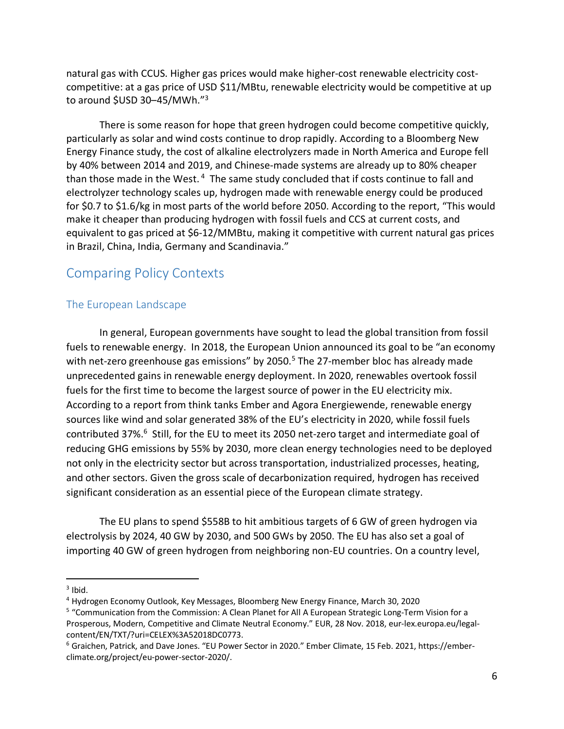natural gas with CCUS. Higher gas prices would make higher-cost renewable electricity costcompetitive: at a gas price of USD \$11/MBtu, renewable electricity would be competitive at up to around \$USD 30-45/MWh."<sup>3</sup>

There is some reason for hope that green hydrogen could become competitive quickly, particularly as solar and wind costs continue to drop rapidly. According to a Bloomberg New Energy Finance study, the cost of alkaline electrolyzers made in North America and Europe fell by 40% between 2014 and 2019, and Chinese-made systems are already up to 80% cheaper than those made in the West. <sup>4</sup> The same study concluded that if costs continue to fall and electrolyzer technology scales up, hydrogen made with renewable energy could be produced for \$0.7 to \$1.6/kg in most parts of the world before 2050. According to the report, "This would make it cheaper than producing hydrogen with fossil fuels and CCS at current costs, and equivalent to gas priced at \$6-12/MMBtu, making it competitive with current natural gas prices in Brazil, China, India, Germany and Scandinavia."

## Comparing Policy Contexts

## The European Landscape

In general, European governments have sought to lead the global transition from fossil fuels to renewable energy. In 2018, the European Union announced its goal to be "an economy with net-zero greenhouse gas emissions" by 2050.<sup>5</sup> The 27-member bloc has already made unprecedented gains in renewable energy deployment. In 2020, renewables overtook fossil fuels for the first time to become the largest source of power in the EU electricity mix. According to a report from think tanks Ember and Agora Energiewende, renewable energy sources like wind and solar generated 38% of the EU's electricity in 2020, while fossil fuels contributed 37%.<sup>6</sup> Still, for the EU to meet its 2050 net-zero target and intermediate goal of reducing GHG emissions by 55% by 2030, more clean energy technologies need to be deployed not only in the electricity sector but across transportation, industrialized processes, heating, and other sectors. Given the gross scale of decarbonization required, hydrogen has received significant consideration as an essential piece of the European climate strategy.

The EU plans to spend \$558B to hit ambitious targets of 6 GW of green hydrogen via electrolysis by 2024, 40 GW by 2030, and 500 GWs by 2050. The EU has also set a goal of importing 40 GW of green hydrogen from neighboring non-EU countries. On a country level,

 $3$  Ibid.

<sup>4</sup> Hydrogen Economy Outlook, Key Messages, Bloomberg New Energy Finance, March 30, 2020

<sup>5</sup> "Communication from the Commission: A Clean Planet for All A European Strategic Long-Term Vision for a Prosperous, Modern, Competitive and Climate Neutral Economy." EUR, 28 Nov. 2018, eur-lex.europa.eu/legalcontent/EN/TXT/?uri=CELEX%3A52018DC0773.

<sup>6</sup> Graichen, Patrick, and Dave Jones. "EU Power Sector in 2020." Ember Climate, 15 Feb. 2021, https://emberclimate.org/project/eu-power-sector-2020/.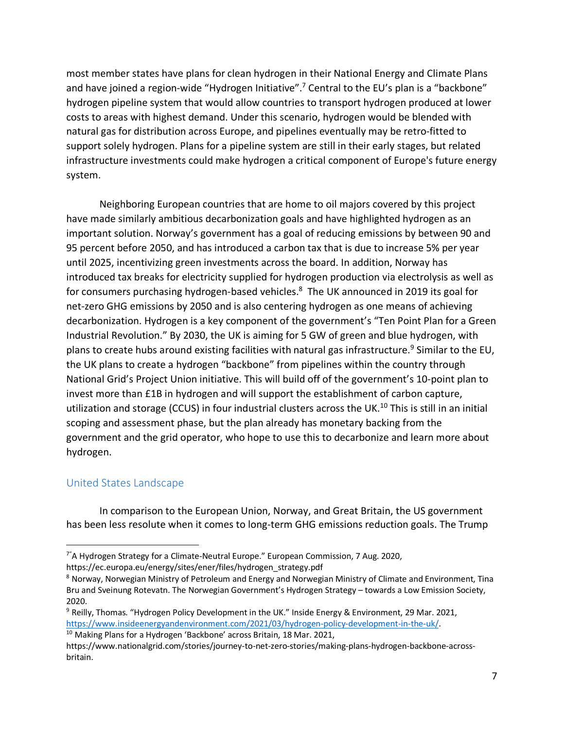most member states have plans for clean hydrogen in their National Energy and Climate Plans and have joined a region-wide "Hydrogen Initiative".<sup>7</sup> Central to the EU's plan is a "backbone" hydrogen pipeline system that would allow countries to transport hydrogen produced at lower costs to areas with highest demand. Under this scenario, hydrogen would be blended with natural gas for distribution across Europe, and pipelines eventually may be retro-fitted to support solely hydrogen. Plans for a pipeline system are still in their early stages, but related infrastructure investments could make hydrogen a critical component of Europe's future energy system.

Neighboring European countries that are home to oil majors covered by this project have made similarly ambitious decarbonization goals and have highlighted hydrogen as an important solution. Norway's government has a goal of reducing emissions by between 90 and 95 percent before 2050, and has introduced a carbon tax that is due to increase 5% per year until 2025, incentivizing green investments across the board. In addition, Norway has introduced tax breaks for electricity supplied for hydrogen production via electrolysis as well as for consumers purchasing hydrogen-based vehicles.<sup>8</sup> The UK announced in 2019 its goal for net-zero GHG emissions by 2050 and is also centering hydrogen as one means of achieving decarbonization. Hydrogen is a key component of the government's "Ten Point Plan for a Green Industrial Revolution." By 2030, the UK is aiming for 5 GW of green and blue hydrogen, with plans to create hubs around existing facilities with natural gas infrastructure.<sup>9</sup> Similar to the EU, the UK plans to create a hydrogen "backbone" from pipelines within the country through National Grid's Project Union initiative. This will build off of the government's 10-point plan to invest more than £1B in hydrogen and will support the establishment of carbon capture, utilization and storage (CCUS) in four industrial clusters across the UK.<sup>10</sup> This is still in an initial scoping and assessment phase, but the plan already has monetary backing from the government and the grid operator, who hope to use this to decarbonize and learn more about hydrogen.

## United States Landscape

In comparison to the European Union, Norway, and Great Britain, the US government has been less resolute when it comes to long-term GHG emissions reduction goals. The Trump

 <sup>7&</sup>quot; A Hydrogen Strategy for a Climate-Neutral Europe." European Commission, 7 Aug. 2020, https://ec.europa.eu/energy/sites/ener/files/hydrogen\_strategy.pdf

<sup>8</sup> Norway, Norwegian Ministry of Petroleum and Energy and Norwegian Ministry of Climate and Environment, Tina Bru and Sveinung Rotevatn. The Norwegian Government's Hydrogen Strategy – towards a Low Emission Society, 2020.

<sup>&</sup>lt;sup>9</sup> Reilly, Thomas. "Hydrogen Policy Development in the UK." Inside Energy & Environment, 29 Mar. 2021, https://www.insideenergyandenvironment.com/2021/03/hydrogen-policy-development-in-the-uk/.<br><sup>10</sup> Making Plans for a Hydrogen 'Backbone' across Britain, 18 Mar. 2021,

https://www.nationalgrid.com/stories/journey-to-net-zero-stories/making-plans-hydrogen-backbone-acrossbritain.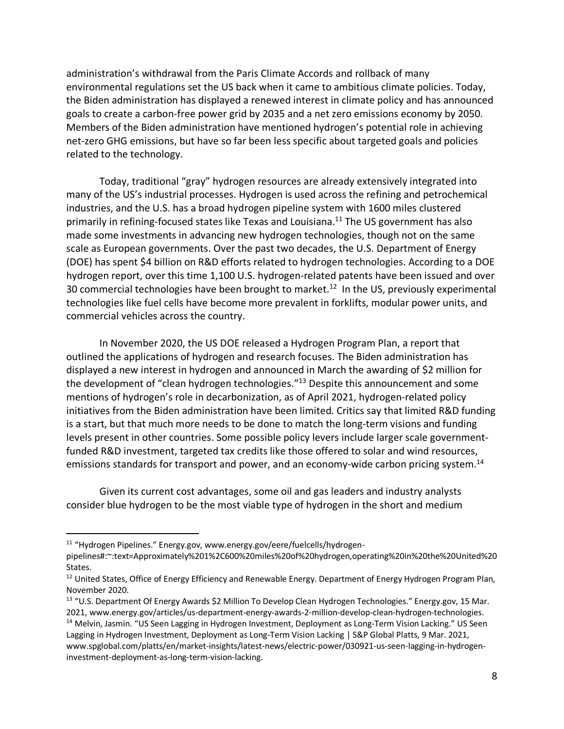administration's withdrawal from the Paris Climate Accords and rollback of many environmental regulations set the US back when it came to ambitious climate policies. Today, the Biden administration has displayed a renewed interest in climate policy and has announced goals to create a carbon-free power grid by 2035 and a net zero emissions economy by 2050. Members of the Biden administration have mentioned hydrogen's potential role in achieving net-zero GHG emissions, but have so far been less specific about targeted goals and policies related to the technology.

Today, traditional "gray" hydrogen resources are already extensively integrated into many of the US's industrial processes. Hydrogen is used across the refining and petrochemical industries, and the U.S. has a broad hydrogen pipeline system with 1600 miles clustered primarily in refining-focused states like Texas and Louisiana.<sup>11</sup> The US government has also made some investments in advancing new hydrogen technologies, though not on the same scale as European governments. Over the past two decades, the U.S. Department of Energy (DOE) has spent \$4 billion on R&D efforts related to hydrogen technologies. According to a DOE hydrogen report, over this time 1,100 U.S. hydrogen-related patents have been issued and over 30 commercial technologies have been brought to market.<sup>12</sup> In the US, previously experimental technologies like fuel cells have become more prevalent in forklifts, modular power units, and commercial vehicles across the country.

In November 2020, the US DOE released a Hydrogen Program Plan, a report that outlined the applications of hydrogen and research focuses. The Biden administration has displayed a new interest in hydrogen and announced in March the awarding of \$2 million for the development of "clean hydrogen technologies."<sup>13</sup> Despite this announcement and some mentions of hydrogen's role in decarbonization, as of April 2021, hydrogen-related policy initiatives from the Biden administration have been limited. Critics say that limited R&D funding is a start, but that much more needs to be done to match the long-term visions and funding levels present in other countries. Some possible policy levers include larger scale governmentfunded R&D investment, targeted tax credits like those offered to solar and wind resources, emissions standards for transport and power, and an economy-wide carbon pricing system.<sup>14</sup>

Given its current cost advantages, some oil and gas leaders and industry analysts consider blue hydrogen to be the most viable type of hydrogen in the short and medium

<sup>&</sup>lt;sup>11</sup> "Hydrogen Pipelines." Energy.gov, www.energy.gov/eere/fuelcells/hydrogenpipelines#:~:text=Approximately%201%2C600%20miles%20of%20hydrogen,operating%20in%20the%20United%20 States.

<sup>&</sup>lt;sup>12</sup> United States, Office of Energy Efficiency and Renewable Energy. Department of Energy Hydrogen Program Plan, November 2020.

<sup>&</sup>lt;sup>13</sup> "U.S. Department Of Energy Awards \$2 Million To Develop Clean Hydrogen Technologies." Energy.gov, 15 Mar. 2021, www.energy.gov/articles/us-department-energy-awards-2-million-develop-clean-hydrogen-technologies. <sup>14</sup> Melvin, Jasmin. "US Seen Lagging in Hydrogen Investment, Deployment as Long-Term Vision Lacking." US Seen Lagging in Hydrogen Investment, Deployment as Long-Term Vision Lacking | S&P Global Platts, 9 Mar. 2021, www.spglobal.com/platts/en/market-insights/latest-news/electric-power/030921-us-seen-lagging-in-hydrogeninvestment-deployment-as-long-term-vision-lacking.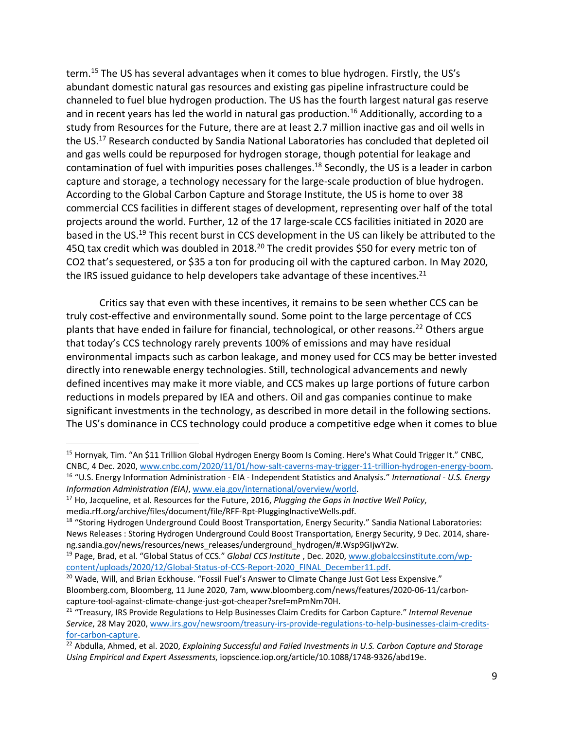term.15 The US has several advantages when it comes to blue hydrogen. Firstly, the US's abundant domestic natural gas resources and existing gas pipeline infrastructure could be channeled to fuel blue hydrogen production. The US has the fourth largest natural gas reserve and in recent years has led the world in natural gas production.<sup>16</sup> Additionally, according to a study from Resources for the Future, there are at least 2.7 million inactive gas and oil wells in the US.17 Research conducted by Sandia National Laboratories has concluded that depleted oil and gas wells could be repurposed for hydrogen storage, though potential for leakage and contamination of fuel with impurities poses challenges. <sup>18</sup> Secondly, the US is a leader in carbon capture and storage, a technology necessary for the large-scale production of blue hydrogen. According to the Global Carbon Capture and Storage Institute, the US is home to over 38 commercial CCS facilities in different stages of development, representing over half of the total projects around the world. Further, 12 of the 17 large-scale CCS facilities initiated in 2020 are based in the US.19 This recent burst in CCS development in the US can likely be attributed to the 45Q tax credit which was doubled in 2018.<sup>20</sup> The credit provides \$50 for every metric ton of CO2 that's sequestered, or \$35 a ton for producing oil with the captured carbon. In May 2020, the IRS issued guidance to help developers take advantage of these incentives.<sup>21</sup>

Critics say that even with these incentives, it remains to be seen whether CCS can be truly cost-effective and environmentally sound. Some point to the large percentage of CCS plants that have ended in failure for financial, technological, or other reasons.<sup>22</sup> Others argue that today's CCS technology rarely prevents 100% of emissions and may have residual environmental impacts such as carbon leakage, and money used for CCS may be better invested directly into renewable energy technologies. Still, technological advancements and newly defined incentives may make it more viable, and CCS makes up large portions of future carbon reductions in models prepared by IEA and others. Oil and gas companies continue to make significant investments in the technology, as described in more detail in the following sections. The US's dominance in CCS technology could produce a competitive edge when it comes to blue

<sup>&</sup>lt;sup>15</sup> Hornyak, Tim. "An \$11 Trillion Global Hydrogen Energy Boom Is Coming. Here's What Could Trigger It." CNBC, CNBC, 4 Dec. 2020, www.cnbc.com/2020/11/01/how-salt-caverns-may-trigger-11-trillion-hydrogen-energy-boom.<br><sup>16</sup> "U.S. Energy Information Administration - EIA - Independent Statistics and Analysis." International - U.S. Ener

*Information Administration (EIA)*, www.eia.gov/international/overview/world.

<sup>17</sup> Ho, Jacqueline, et al. Resources for the Future, 2016, *Plugging the Gaps in Inactive Well Policy*, media.rff.org/archive/files/document/file/RFF-Rpt-PluggingInactiveWells.pdf.

<sup>&</sup>lt;sup>18</sup> "Storing Hydrogen Underground Could Boost Transportation, Energy Security." Sandia National Laboratories: News Releases : Storing Hydrogen Underground Could Boost Transportation, Energy Security, 9 Dec. 2014, shareng.sandia.gov/news/resources/news\_releases/underground\_hydrogen/#.Wsp9GIjwY2w.

<sup>19</sup> Page, Brad, et al. "Global Status of CCS." *Global CCS Institute* , Dec. 2020, www.globalccsinstitute.com/wpcontent/uploads/2020/12/Global-Status-of-CCS-Report-2020\_FINAL\_December11.pdf.

<sup>&</sup>lt;sup>20</sup> Wade, Will, and Brian Eckhouse. "Fossil Fuel's Answer to Climate Change Just Got Less Expensive." Bloomberg.com, Bloomberg, 11 June 2020, 7am, www.bloomberg.com/news/features/2020-06-11/carboncapture-tool-against-climate-change-just-got-cheaper?sref=mPmNm70H. 21 "Treasury, IRS Provide Regulations to Help Businesses Claim Credits for Carbon Capture." *Internal Revenue* 

*Service*, 28 May 2020, www.irs.gov/newsroom/treasury-irs-provide-regulations-to-help-businesses-claim-creditsfor-carbon-capture.

<sup>22</sup> Abdulla, Ahmed, et al. 2020, *Explaining Successful and Failed Investments in U.S. Carbon Capture and Storage Using Empirical and Expert Assessments*, iopscience.iop.org/article/10.1088/1748-9326/abd19e.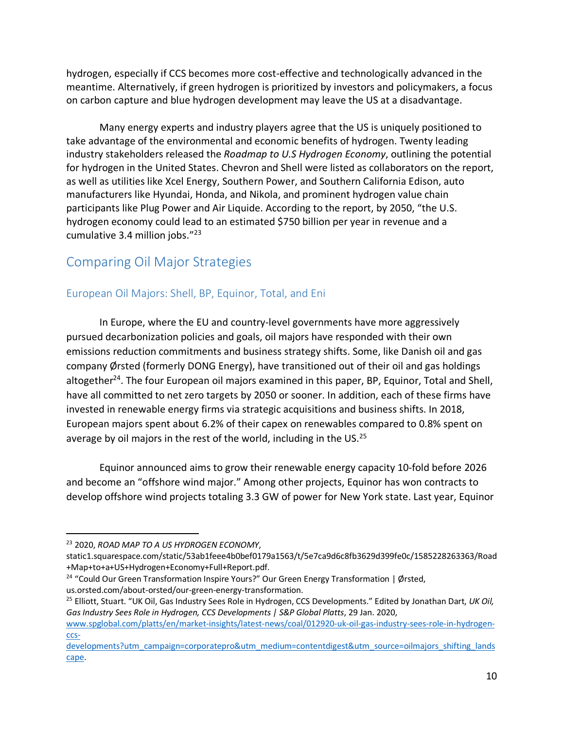hydrogen, especially if CCS becomes more cost-effective and technologically advanced in the meantime. Alternatively, if green hydrogen is prioritized by investors and policymakers, a focus on carbon capture and blue hydrogen development may leave the US at a disadvantage.

Many energy experts and industry players agree that the US is uniquely positioned to take advantage of the environmental and economic benefits of hydrogen. Twenty leading industry stakeholders released the *Roadmap to U.S Hydrogen Economy*, outlining the potential for hydrogen in the United States. Chevron and Shell were listed as collaborators on the report, as well as utilities like Xcel Energy, Southern Power, and Southern California Edison, auto manufacturers like Hyundai, Honda, and Nikola, and prominent hydrogen value chain participants like Plug Power and Air Liquide. According to the report, by 2050, "the U.S. hydrogen economy could lead to an estimated \$750 billion per year in revenue and a cumulative 3.4 million jobs."23

# Comparing Oil Major Strategies

## European Oil Majors: Shell, BP, Equinor, Total, and Eni

In Europe, where the EU and country-level governments have more aggressively pursued decarbonization policies and goals, oil majors have responded with their own emissions reduction commitments and business strategy shifts. Some, like Danish oil and gas company Ørsted (formerly DONG Energy), have transitioned out of their oil and gas holdings altogether<sup>24</sup>. The four European oil majors examined in this paper, BP, Equinor, Total and Shell, have all committed to net zero targets by 2050 or sooner. In addition, each of these firms have invested in renewable energy firms via strategic acquisitions and business shifts. In 2018, European majors spent about 6.2% of their capex on renewables compared to 0.8% spent on average by oil majors in the rest of the world, including in the US. $^{25}$ 

Equinor announced aims to grow their renewable energy capacity 10-fold before 2026 and become an "offshore wind major." Among other projects, Equinor has won contracts to develop offshore wind projects totaling 3.3 GW of power for New York state. Last year, Equinor

 <sup>23</sup> 2020, *ROAD MAP TO A US HYDROGEN ECONOMY*,

static1.squarespace.com/static/53ab1feee4b0bef0179a1563/t/5e7ca9d6c8fb3629d399fe0c/1585228263363/Road +Map+to+a+US+Hydrogen+Economy+Full+Report.pdf.

<sup>&</sup>lt;sup>24</sup> "Could Our Green Transformation Inspire Yours?" Our Green Energy Transformation | Ørsted, us.orsted.com/about-orsted/our-green-energy-transformation.

<sup>25</sup> Elliott, Stuart. "UK Oil, Gas Industry Sees Role in Hydrogen, CCS Developments." Edited by Jonathan Dart, *UK Oil, Gas Industry Sees Role in Hydrogen, CCS Developments | S&P Global Platts*, 29 Jan. 2020,

www.spglobal.com/platts/en/market-insights/latest-news/coal/012920-uk-oil-gas-industry-sees-role-in-hydrogenccs-

developments?utm\_campaign=corporatepro&utm\_medium=contentdigest&utm\_source=oilmajors\_shifting\_lands cape.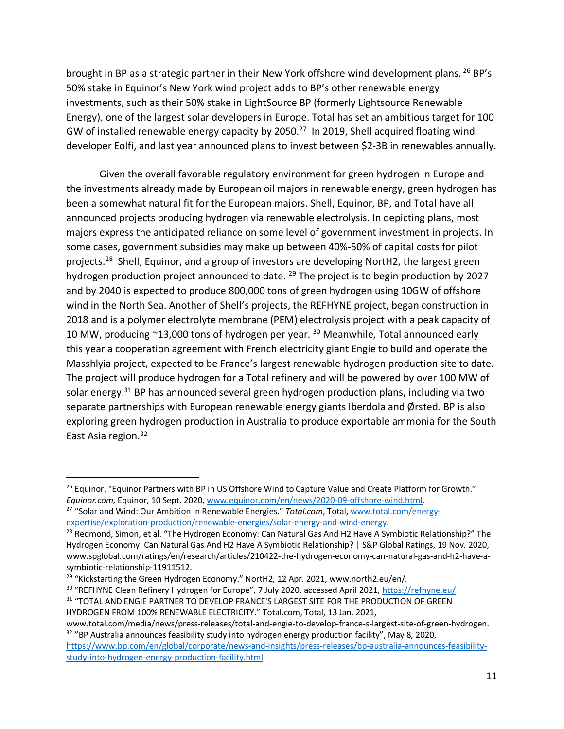brought in BP as a strategic partner in their New York offshore wind development plans. <sup>26</sup> BP's 50% stake in Equinor's New York wind project adds to BP's other renewable energy investments, such as their 50% stake in LightSource BP (formerly Lightsource Renewable Energy), one of the largest solar developers in Europe. Total has set an ambitious target for 100 GW of installed renewable energy capacity by 2050.<sup>27</sup> In 2019, Shell acquired floating wind developer Eolfi, and last year announced plans to invest between \$2-3B in renewables annually.

Given the overall favorable regulatory environment for green hydrogen in Europe and the investments already made by European oil majors in renewable energy, green hydrogen has been a somewhat natural fit for the European majors. Shell, Equinor, BP, and Total have all announced projects producing hydrogen via renewable electrolysis. In depicting plans, most majors express the anticipated reliance on some level of government investment in projects. In some cases, government subsidies may make up between 40%-50% of capital costs for pilot projects.<sup>28</sup> Shell, Equinor, and a group of investors are developing NortH2, the largest green hydrogen production project announced to date. <sup>29</sup> The project is to begin production by 2027 and by 2040 is expected to produce 800,000 tons of green hydrogen using 10GW of offshore wind in the North Sea. Another of Shell's projects, the REFHYNE project, began construction in 2018 and is a polymer electrolyte membrane (PEM) electrolysis project with a peak capacity of 10 MW, producing  $\sim$ 13,000 tons of hydrogen per year. <sup>30</sup> Meanwhile, Total announced early this year a cooperation agreement with French electricity giant Engie to build and operate the Masshlyia project, expected to be France's largest renewable hydrogen production site to date. The project will produce hydrogen for a Total refinery and will be powered by over 100 MW of solar energy.<sup>31</sup> BP has announced several green hydrogen production plans, including via two separate partnerships with European renewable energy giants Iberdola and Ørsted. BP is also exploring green hydrogen production in Australia to produce exportable ammonia for the South East Asia region.<sup>32</sup>

<sup>30</sup> "REFHYNE Clean Refinery Hydrogen for Europe", 7 July 2020, accessed April 2021, https://refhyne.eu/ <sup>31</sup> "TOTAL AND ENGIE PARTNER TO DEVELOP FRANCE'S LARGEST SITE FOR THE PRODUCTION OF GREEN

https://www.bp.com/en/global/corporate/news-and-insights/press-releases/bp-australia-announces-feasibilitystudy-into-hydrogen-energy-production-facility.html

<sup>&</sup>lt;sup>26</sup> Equinor. "Equinor Partners with BP in US Offshore Wind to Capture Value and Create Platform for Growth." *Equinor.com*, Equinor, 10 Sept. 2020, www.equinor.com/en/news/2020-09-offshore-wind.html.

<sup>27</sup> "Solar and Wind: Our Ambition in Renewable Energies." *Total.com*, Total, www.total.com/energyexpertise/exploration-production/renewable-energies/solar-energy-and-wind-energy.

<sup>&</sup>lt;sup>28</sup> Redmond, Simon, et al. "The Hydrogen Economy: Can Natural Gas And H2 Have A Symbiotic Relationship?" The Hydrogen Economy: Can Natural Gas And H2 Have A Symbiotic Relationship? | S&P Global Ratings, 19 Nov. 2020, www.spglobal.com/ratings/en/research/articles/210422-the-hydrogen-economy-can-natural-gas-and-h2-have-asymbiotic-relationship-11911512.

<sup>&</sup>lt;sup>29</sup> "Kickstarting the Green Hydrogen Economy." NortH2, 12 Apr. 2021, www.north2.eu/en/.

HYDROGEN FROM 100% RENEWABLE ELECTRICITY." Total.com, Total, 13 Jan. 2021,

www.total.com/media/news/press-releases/total-and-engie-to-develop-france-s-largest-site-of-green-hydrogen.  $32$  "BP Australia announces feasibility study into hydrogen energy production facility", May 8, 2020,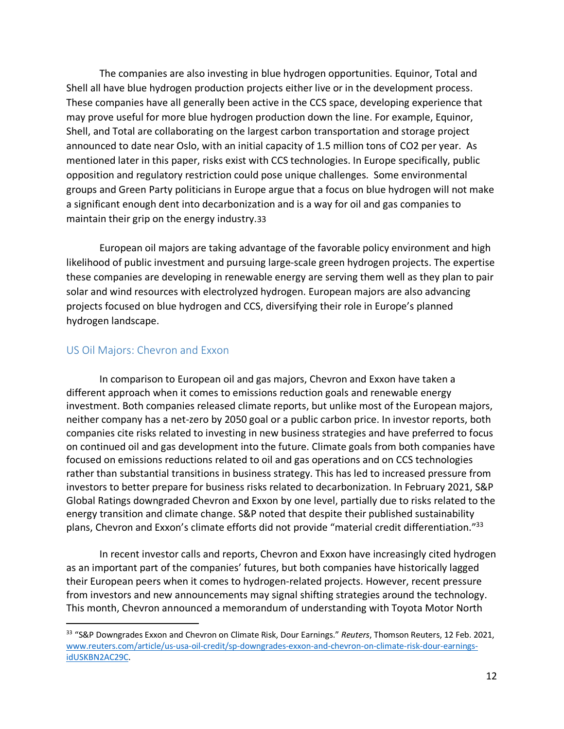The companies are also investing in blue hydrogen opportunities. Equinor, Total and Shell all have blue hydrogen production projects either live or in the development process. These companies have all generally been active in the CCS space, developing experience that may prove useful for more blue hydrogen production down the line. For example, Equinor, Shell, and Total are collaborating on the largest carbon transportation and storage project announced to date near Oslo, with an initial capacity of 1.5 million tons of CO2 per year. As mentioned later in this paper, risks exist with CCS technologies. In Europe specifically, public opposition and regulatory restriction could pose unique challenges. Some environmental groups and Green Party politicians in Europe argue that a focus on blue hydrogen will not make a significant enough dent into decarbonization and is a way for oil and gas companies to maintain their grip on the energy industry.33

European oil majors are taking advantage of the favorable policy environment and high likelihood of public investment and pursuing large-scale green hydrogen projects. The expertise these companies are developing in renewable energy are serving them well as they plan to pair solar and wind resources with electrolyzed hydrogen. European majors are also advancing projects focused on blue hydrogen and CCS, diversifying their role in Europe's planned hydrogen landscape.

#### US Oil Majors: Chevron and Exxon

In comparison to European oil and gas majors, Chevron and Exxon have taken a different approach when it comes to emissions reduction goals and renewable energy investment. Both companies released climate reports, but unlike most of the European majors, neither company has a net-zero by 2050 goal or a public carbon price. In investor reports, both companies cite risks related to investing in new business strategies and have preferred to focus on continued oil and gas development into the future. Climate goals from both companies have focused on emissions reductions related to oil and gas operations and on CCS technologies rather than substantial transitions in business strategy. This has led to increased pressure from investors to better prepare for business risks related to decarbonization. In February 2021, S&P Global Ratings downgraded Chevron and Exxon by one level, partially due to risks related to the energy transition and climate change. S&P noted that despite their published sustainability plans, Chevron and Exxon's climate efforts did not provide "material credit differentiation."<sup>33</sup>

In recent investor calls and reports, Chevron and Exxon have increasingly cited hydrogen as an important part of the companies' futures, but both companies have historically lagged their European peers when it comes to hydrogen-related projects. However, recent pressure from investors and new announcements may signal shifting strategies around the technology. This month, Chevron announced a memorandum of understanding with Toyota Motor North

 <sup>33</sup> "S&P Downgrades Exxon and Chevron on Climate Risk, Dour Earnings." *Reuters*, Thomson Reuters, 12 Feb. 2021, www.reuters.com/article/us-usa-oil-credit/sp-downgrades-exxon-and-chevron-on-climate-risk-dour-earningsidUSKBN2AC29C.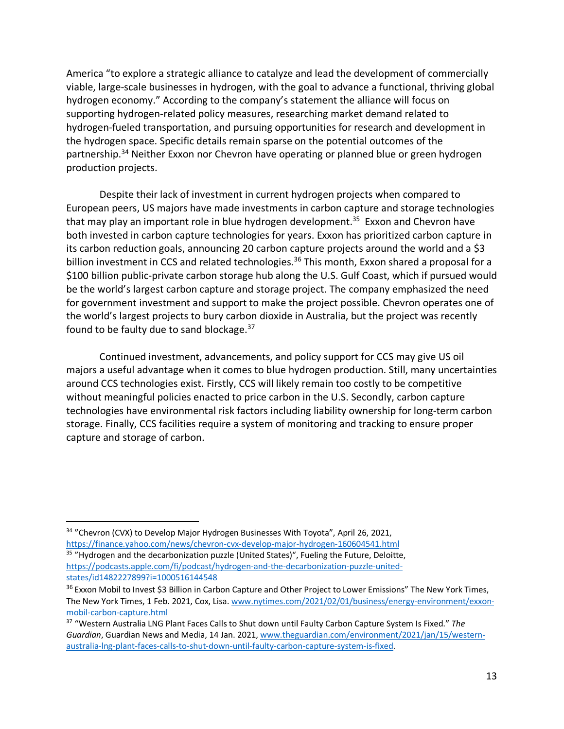America "to explore a strategic alliance to catalyze and lead the development of commercially viable, large-scale businesses in hydrogen, with the goal to advance a functional, thriving global hydrogen economy." According to the company's statement the alliance will focus on supporting hydrogen-related policy measures, researching market demand related to hydrogen-fueled transportation, and pursuing opportunities for research and development in the hydrogen space. Specific details remain sparse on the potential outcomes of the partnership.<sup>34</sup> Neither Exxon nor Chevron have operating or planned blue or green hydrogen production projects.

Despite their lack of investment in current hydrogen projects when compared to European peers, US majors have made investments in carbon capture and storage technologies that may play an important role in blue hydrogen development.<sup>35</sup> Exxon and Chevron have both invested in carbon capture technologies for years. Exxon has prioritized carbon capture in its carbon reduction goals, announcing 20 carbon capture projects around the world and a \$3 billion investment in CCS and related technologies.<sup>36</sup> This month, Exxon shared a proposal for a \$100 billion public-private carbon storage hub along the U.S. Gulf Coast, which if pursued would be the world's largest carbon capture and storage project. The company emphasized the need for government investment and support to make the project possible. Chevron operates one of the world's largest projects to bury carbon dioxide in Australia, but the project was recently found to be faulty due to sand blockage. 37

Continued investment, advancements, and policy support for CCS may give US oil majors a useful advantage when it comes to blue hydrogen production. Still, many uncertainties around CCS technologies exist. Firstly, CCS will likely remain too costly to be competitive without meaningful policies enacted to price carbon in the U.S. Secondly, carbon capture technologies have environmental risk factors including liability ownership for long-term carbon storage. Finally, CCS facilities require a system of monitoring and tracking to ensure proper capture and storage of carbon.

<sup>&</sup>lt;sup>34</sup> "Chevron (CVX) to Develop Major Hydrogen Businesses With Toyota", April 26, 2021, https://finance.yahoo.com/news/chevron-cvx-develop-major-hydrogen-160604541.html

<sup>&</sup>lt;sup>35</sup> "Hydrogen and the decarbonization puzzle (United States)", Fueling the Future, Deloitte, https://podcasts.apple.com/fi/podcast/hydrogen-and-the-decarbonization-puzzle-unitedstates/id1482227899?i=1000516144548

<sup>&</sup>lt;sup>36</sup> Exxon Mobil to Invest \$3 Billion in Carbon Capture and Other Project to Lower Emissions" The New York Times, The New York Times, 1 Feb. 2021, Cox, Lisa. www.nytimes.com/2021/02/01/business/energy-environment/exxonmobil-carbon-capture.html

<sup>37</sup> "Western Australia LNG Plant Faces Calls to Shut down until Faulty Carbon Capture System Is Fixed." *The Guardian*, Guardian News and Media, 14 Jan. 2021, www.theguardian.com/environment/2021/jan/15/westernaustralia-lng-plant-faces-calls-to-shut-down-until-faulty-carbon-capture-system-is-fixed.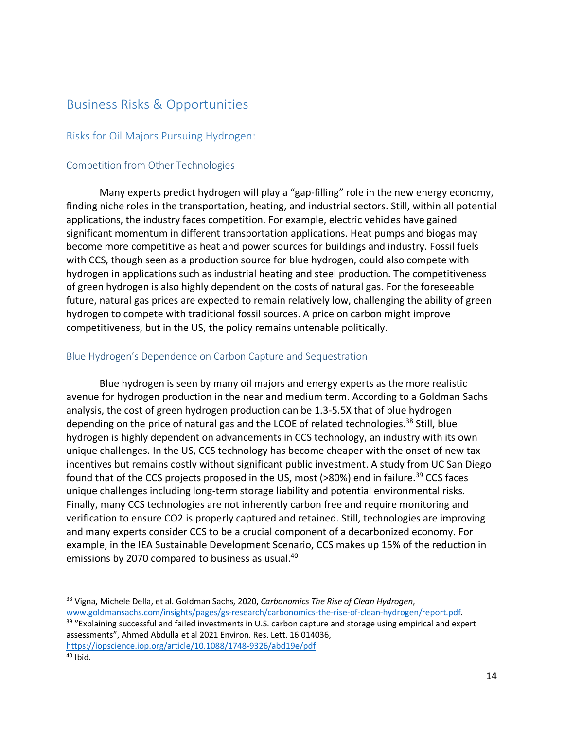## Business Risks & Opportunities

#### Risks for Oil Majors Pursuing Hydrogen:

#### Competition from Other Technologies

Many experts predict hydrogen will play a "gap-filling" role in the new energy economy, finding niche roles in the transportation, heating, and industrial sectors. Still, within all potential applications, the industry faces competition. For example, electric vehicles have gained significant momentum in different transportation applications. Heat pumps and biogas may become more competitive as heat and power sources for buildings and industry. Fossil fuels with CCS, though seen as a production source for blue hydrogen, could also compete with hydrogen in applications such as industrial heating and steel production. The competitiveness of green hydrogen is also highly dependent on the costs of natural gas. For the foreseeable future, natural gas prices are expected to remain relatively low, challenging the ability of green hydrogen to compete with traditional fossil sources. A price on carbon might improve competitiveness, but in the US, the policy remains untenable politically.

#### Blue Hydrogen's Dependence on Carbon Capture and Sequestration

Blue hydrogen is seen by many oil majors and energy experts as the more realistic avenue for hydrogen production in the near and medium term. According to a Goldman Sachs analysis, the cost of green hydrogen production can be 1.3-5.5X that of blue hydrogen depending on the price of natural gas and the LCOE of related technologies.<sup>38</sup> Still, blue hydrogen is highly dependent on advancements in CCS technology, an industry with its own unique challenges. In the US, CCS technology has become cheaper with the onset of new tax incentives but remains costly without significant public investment. A study from UC San Diego found that of the CCS projects proposed in the US, most (>80%) end in failure.<sup>39</sup> CCS faces unique challenges including long-term storage liability and potential environmental risks. Finally, many CCS technologies are not inherently carbon free and require monitoring and verification to ensure CO2 is properly captured and retained. Still, technologies are improving and many experts consider CCS to be a crucial component of a decarbonized economy. For example, in the IEA Sustainable Development Scenario, CCS makes up 15% of the reduction in emissions by 2070 compared to business as usual.<sup>40</sup>

 <sup>38</sup> Vigna, Michele Della, et al. Goldman Sachs, 2020, *Carbonomics The Rise of Clean Hydrogen*, www.goldmansachs.com/insights/pages/gs-research/carbonomics-the-rise-of-clean-hydrogen/report.pdf.

<sup>&</sup>lt;sup>39</sup> "Explaining successful and failed investments in U.S. carbon capture and storage using empirical and expert assessments", Ahmed Abdulla et al 2021 Environ. Res. Lett. 16 014036,

https://iopscience.iop.org/article/10.1088/1748-9326/abd19e/pdf

 $40$  Ibid.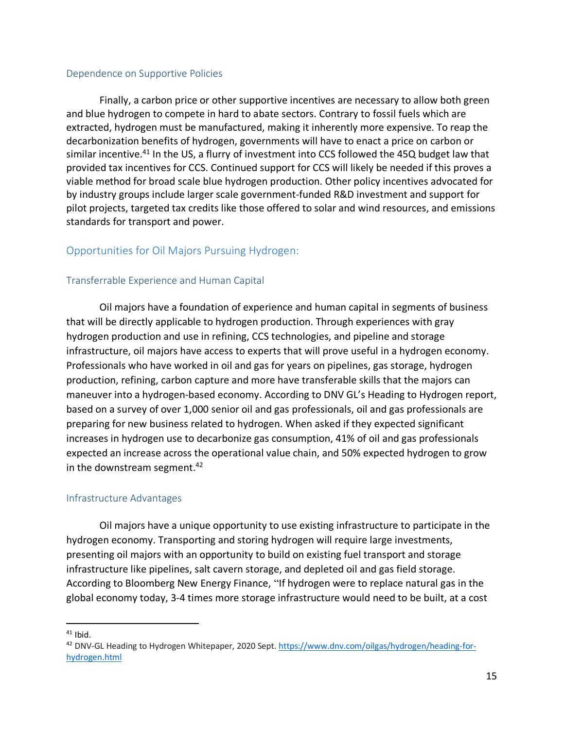#### Dependence on Supportive Policies

Finally, a carbon price or other supportive incentives are necessary to allow both green and blue hydrogen to compete in hard to abate sectors. Contrary to fossil fuels which are extracted, hydrogen must be manufactured, making it inherently more expensive. To reap the decarbonization benefits of hydrogen, governments will have to enact a price on carbon or similar incentive.<sup>41</sup> In the US, a flurry of investment into CCS followed the 45Q budget law that provided tax incentives for CCS. Continued support for CCS will likely be needed if this proves a viable method for broad scale blue hydrogen production. Other policy incentives advocated for by industry groups include larger scale government-funded R&D investment and support for pilot projects, targeted tax credits like those offered to solar and wind resources, and emissions standards for transport and power.

## Opportunities for Oil Majors Pursuing Hydrogen:

#### Transferrable Experience and Human Capital

Oil majors have a foundation of experience and human capital in segments of business that will be directly applicable to hydrogen production. Through experiences with gray hydrogen production and use in refining, CCS technologies, and pipeline and storage infrastructure, oil majors have access to experts that will prove useful in a hydrogen economy. Professionals who have worked in oil and gas for years on pipelines, gas storage, hydrogen production, refining, carbon capture and more have transferable skills that the majors can maneuver into a hydrogen-based economy. According to DNV GL's Heading to Hydrogen report, based on a survey of over 1,000 senior oil and gas professionals, oil and gas professionals are preparing for new business related to hydrogen. When asked if they expected significant increases in hydrogen use to decarbonize gas consumption, 41% of oil and gas professionals expected an increase across the operational value chain, and 50% expected hydrogen to grow in the downstream segment. $42$ 

#### Infrastructure Advantages

Oil majors have a unique opportunity to use existing infrastructure to participate in the hydrogen economy. Transporting and storing hydrogen will require large investments, presenting oil majors with an opportunity to build on existing fuel transport and storage infrastructure like pipelines, salt cavern storage, and depleted oil and gas field storage. According to Bloomberg New Energy Finance, "If hydrogen were to replace natural gas in the global economy today, 3-4 times more storage infrastructure would need to be built, at a cost

 $41$  Ibid.

<sup>&</sup>lt;sup>42</sup> DNV-GL Heading to Hydrogen Whitepaper, 2020 Sept. https://www.dnv.com/oilgas/hydrogen/heading-forhydrogen.html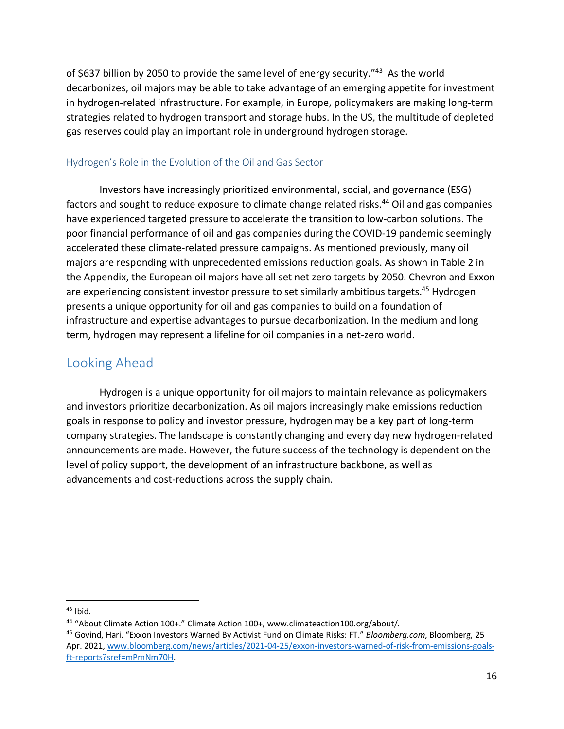of \$637 billion by 2050 to provide the same level of energy security."43 As the world decarbonizes, oil majors may be able to take advantage of an emerging appetite for investment in hydrogen-related infrastructure. For example, in Europe, policymakers are making long-term strategies related to hydrogen transport and storage hubs. In the US, the multitude of depleted gas reserves could play an important role in underground hydrogen storage.

#### Hydrogen's Role in the Evolution of the Oil and Gas Sector

Investors have increasingly prioritized environmental, social, and governance (ESG) factors and sought to reduce exposure to climate change related risks.<sup>44</sup> Oil and gas companies have experienced targeted pressure to accelerate the transition to low-carbon solutions. The poor financial performance of oil and gas companies during the COVID-19 pandemic seemingly accelerated these climate-related pressure campaigns. As mentioned previously, many oil majors are responding with unprecedented emissions reduction goals. As shown in Table 2 in the Appendix, the European oil majors have all set net zero targets by 2050. Chevron and Exxon are experiencing consistent investor pressure to set similarly ambitious targets.<sup>45</sup> Hydrogen presents a unique opportunity for oil and gas companies to build on a foundation of infrastructure and expertise advantages to pursue decarbonization. In the medium and long term, hydrogen may represent a lifeline for oil companies in a net-zero world.

## Looking Ahead

Hydrogen is a unique opportunity for oil majors to maintain relevance as policymakers and investors prioritize decarbonization. As oil majors increasingly make emissions reduction goals in response to policy and investor pressure, hydrogen may be a key part of long-term company strategies. The landscape is constantly changing and every day new hydrogen-related announcements are made. However, the future success of the technology is dependent on the level of policy support, the development of an infrastructure backbone, as well as advancements and cost-reductions across the supply chain.

 $43$  Ibid.

<sup>44</sup> "About Climate Action 100+." Climate Action 100+, www.climateaction100.org/about/.

<sup>45</sup> Govind, Hari. "Exxon Investors Warned By Activist Fund on Climate Risks: FT." *Bloomberg.com*, Bloomberg, 25 Apr. 2021, www.bloomberg.com/news/articles/2021-04-25/exxon-investors-warned-of-risk-from-emissions-goalsft-reports?sref=mPmNm70H.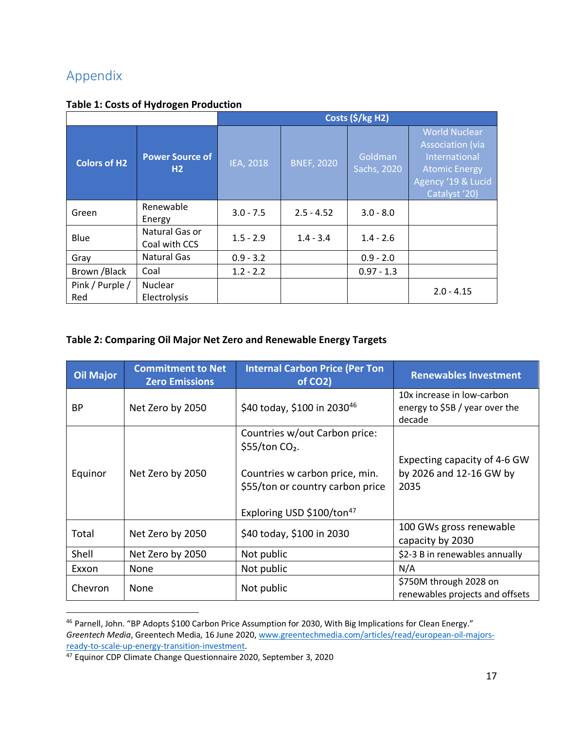# Appendix

|  | <b>Table 1: Costs of Hydrogen Production</b> |
|--|----------------------------------------------|
|--|----------------------------------------------|

|                        |                                 | Costs (\$/kg H2) |                   |                        |                                                                                                                                 |
|------------------------|---------------------------------|------------------|-------------------|------------------------|---------------------------------------------------------------------------------------------------------------------------------|
| <b>Colors of H2</b>    | <b>Power Source of</b><br>H2    | <b>IEA, 2018</b> | <b>BNEF, 2020</b> | Goldman<br>Sachs, 2020 | <b>World Nuclear</b><br><b>Association (via</b><br>International<br><b>Atomic Energy</b><br>Agency '19 & Lucid<br>Catalyst '20) |
| Green                  | Renewable<br>Energy             | $3.0 - 7.5$      | $2.5 - 4.52$      | $3.0 - 8.0$            |                                                                                                                                 |
| Blue                   | Natural Gas or<br>Coal with CCS | $1.5 - 2.9$      | $1.4 - 3.4$       | $1.4 - 2.6$            |                                                                                                                                 |
| Gray                   | <b>Natural Gas</b>              | $0.9 - 3.2$      |                   | $0.9 - 2.0$            |                                                                                                                                 |
| Brown / Black          | Coal                            | $1.2 - 2.2$      |                   | $0.97 - 1.3$           |                                                                                                                                 |
| Pink / Purple /<br>Red | Nuclear<br>Electrolysis         |                  |                   |                        | $2.0 - 4.15$                                                                                                                    |

## **Table 2: Comparing Oil Major Net Zero and Renewable Energy Targets**

| <b>Oil Major</b> | <b>Commitment to Net</b><br><b>Zero Emissions</b> | <b>Internal Carbon Price (Per Ton</b><br>of CO <sub>2</sub> )                                                                                                                | <b>Renewables Investment</b>                                           |
|------------------|---------------------------------------------------|------------------------------------------------------------------------------------------------------------------------------------------------------------------------------|------------------------------------------------------------------------|
| BP               | Net Zero by 2050                                  | \$40 today, \$100 in 2030 <sup>46</sup>                                                                                                                                      | 10x increase in low-carbon<br>energy to \$5B / year over the<br>decade |
| Equinor          | Net Zero by 2050                                  | Countries w/out Carbon price:<br>$$55/$ ton CO <sub>2</sub> .<br>Countries w carbon price, min.<br>\$55/ton or country carbon price<br>Exploring USD \$100/ton <sup>47</sup> | Expecting capacity of 4-6 GW<br>by 2026 and 12-16 GW by<br>2035        |
| Total            | Net Zero by 2050                                  | \$40 today, \$100 in 2030                                                                                                                                                    | 100 GWs gross renewable<br>capacity by 2030                            |
| Shell            | Net Zero by 2050                                  | Not public                                                                                                                                                                   | \$2-3 B in renewables annually                                         |
| Exxon            | None                                              | Not public                                                                                                                                                                   | N/A                                                                    |
| Chevron          | None                                              | Not public                                                                                                                                                                   | \$750M through 2028 on<br>renewables projects and offsets              |

 <sup>46</sup> Parnell, John. "BP Adopts \$100 Carbon Price Assumption for 2030, With Big Implications for Clean Energy." *Greentech Media*, Greentech Media, 16 June 2020, www.greentechmedia.com/articles/read/european-oil-majorsready-to-scale-up-energy-transition-investment.

<sup>&</sup>lt;sup>47</sup> Equinor CDP Climate Change Questionnaire 2020, September 3, 2020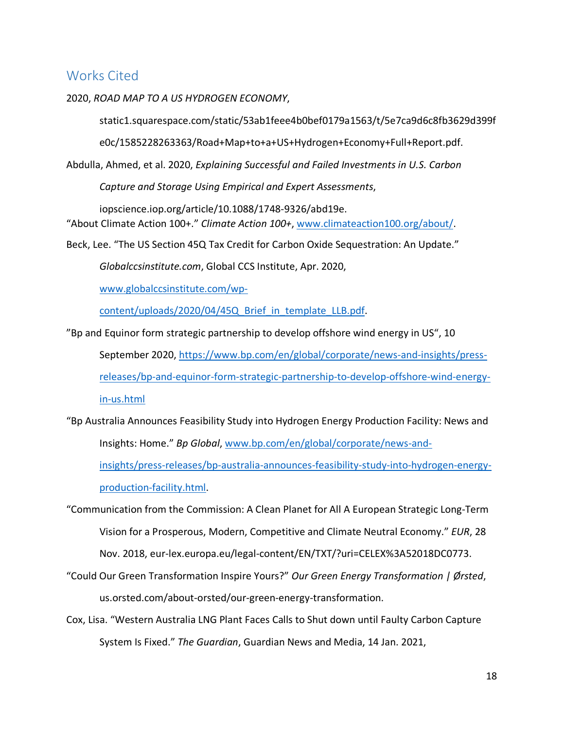## Works Cited

#### 2020, *ROAD MAP TO A US HYDROGEN ECONOMY*,

static1.squarespace.com/static/53ab1feee4b0bef0179a1563/t/5e7ca9d6c8fb3629d399f

e0c/1585228263363/Road+Map+to+a+US+Hydrogen+Economy+Full+Report.pdf.

Abdulla, Ahmed, et al. 2020, *Explaining Successful and Failed Investments in U.S. Carbon Capture and Storage Using Empirical and Expert Assessments*,

iopscience.iop.org/article/10.1088/1748-9326/abd19e. "About Climate Action 100+." *Climate Action 100+*, www.climateaction100.org/about/.

Beck, Lee. "The US Section 45Q Tax Credit for Carbon Oxide Sequestration: An Update."

*Globalccsinstitute.com*, Global CCS Institute, Apr. 2020,

www.globalccsinstitute.com/wp-

content/uploads/2020/04/45Q\_Brief\_in\_template\_LLB.pdf.

"Bp and Equinor form strategic partnership to develop offshore wind energy in US", 10

September 2020, https://www.bp.com/en/global/corporate/news-and-insights/pressreleases/bp-and-equinor-form-strategic-partnership-to-develop-offshore-wind-energyin-us.html

- "Bp Australia Announces Feasibility Study into Hydrogen Energy Production Facility: News and Insights: Home." *Bp Global*, www.bp.com/en/global/corporate/news-andinsights/press-releases/bp-australia-announces-feasibility-study-into-hydrogen-energyproduction-facility.html.
- "Communication from the Commission: A Clean Planet for All A European Strategic Long-Term Vision for a Prosperous, Modern, Competitive and Climate Neutral Economy." *EUR*, 28 Nov. 2018, eur-lex.europa.eu/legal-content/EN/TXT/?uri=CELEX%3A52018DC0773.
- "Could Our Green Transformation Inspire Yours?" *Our Green Energy Transformation | Ørsted*, us.orsted.com/about-orsted/our-green-energy-transformation.
- Cox, Lisa. "Western Australia LNG Plant Faces Calls to Shut down until Faulty Carbon Capture System Is Fixed." *The Guardian*, Guardian News and Media, 14 Jan. 2021,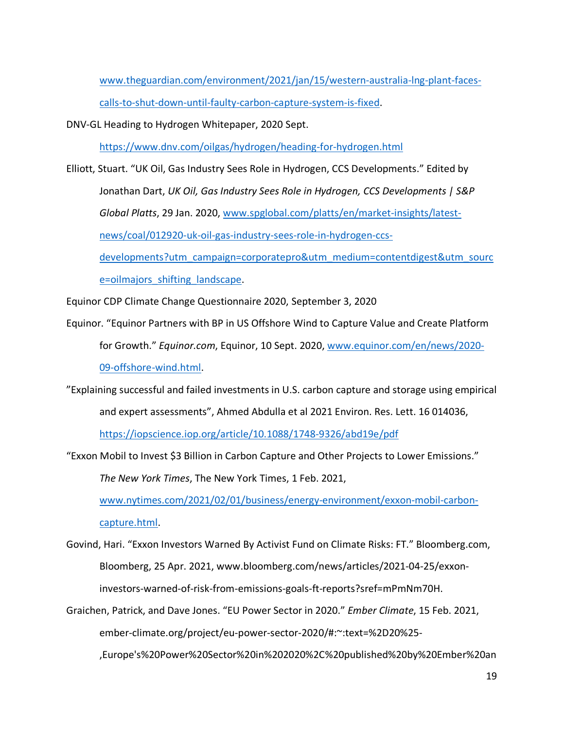www.theguardian.com/environment/2021/jan/15/western-australia-lng-plant-facescalls-to-shut-down-until-faulty-carbon-capture-system-is-fixed.

DNV-GL Heading to Hydrogen Whitepaper, 2020 Sept.

https://www.dnv.com/oilgas/hydrogen/heading-for-hydrogen.html

Elliott, Stuart. "UK Oil, Gas Industry Sees Role in Hydrogen, CCS Developments." Edited by Jonathan Dart, *UK Oil, Gas Industry Sees Role in Hydrogen, CCS Developments | S&P Global Platts*, 29 Jan. 2020, www.spglobal.com/platts/en/market-insights/latestnews/coal/012920-uk-oil-gas-industry-sees-role-in-hydrogen-ccsdevelopments?utm\_campaign=corporatepro&utm\_medium=contentdigest&utm\_sourc

e=oilmajors\_shifting\_landscape.

Equinor CDP Climate Change Questionnaire 2020, September 3, 2020

- Equinor. "Equinor Partners with BP in US Offshore Wind to Capture Value and Create Platform for Growth." *Equinor.com*, Equinor, 10 Sept. 2020, www.equinor.com/en/news/2020- 09-offshore-wind.html.
- "Explaining successful and failed investments in U.S. carbon capture and storage using empirical and expert assessments", Ahmed Abdulla et al 2021 Environ. Res. Lett. 16 014036, https://iopscience.iop.org/article/10.1088/1748-9326/abd19e/pdf

"Exxon Mobil to Invest \$3 Billion in Carbon Capture and Other Projects to Lower Emissions."

*The New York Times*, The New York Times, 1 Feb. 2021,

www.nytimes.com/2021/02/01/business/energy-environment/exxon-mobil-carboncapture.html.

- Govind, Hari. "Exxon Investors Warned By Activist Fund on Climate Risks: FT." Bloomberg.com, Bloomberg, 25 Apr. 2021, www.bloomberg.com/news/articles/2021-04-25/exxoninvestors-warned-of-risk-from-emissions-goals-ft-reports?sref=mPmNm70H.
- Graichen, Patrick, and Dave Jones. "EU Power Sector in 2020." *Ember Climate*, 15 Feb. 2021, ember-climate.org/project/eu-power-sector-2020/#:~:text=%2D20%25-

,Europe's%20Power%20Sector%20in%202020%2C%20published%20by%20Ember%20an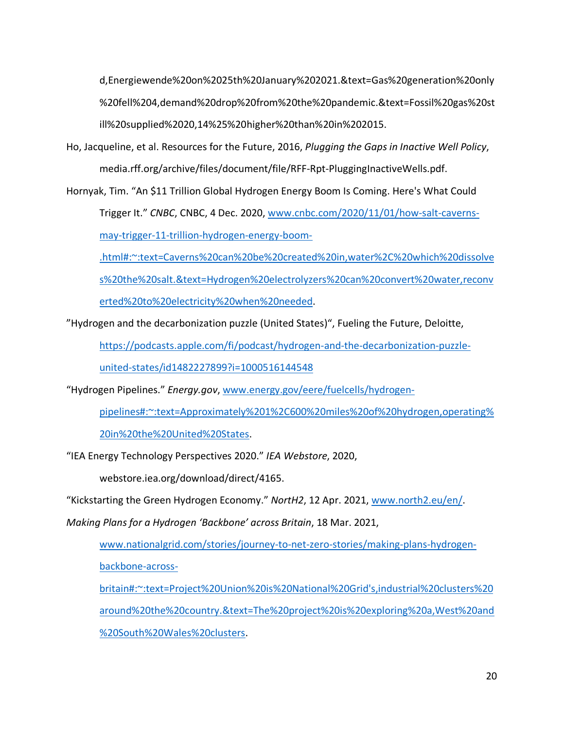d,Energiewende%20on%2025th%20January%202021.&text=Gas%20generation%20only %20fell%204,demand%20drop%20from%20the%20pandemic.&text=Fossil%20gas%20st ill%20supplied%2020,14%25%20higher%20than%20in%202015.

Ho, Jacqueline, et al. Resources for the Future, 2016, *Plugging the Gaps in Inactive Well Policy*, media.rff.org/archive/files/document/file/RFF-Rpt-PluggingInactiveWells.pdf.

Hornyak, Tim. "An \$11 Trillion Global Hydrogen Energy Boom Is Coming. Here's What Could Trigger It." *CNBC*, CNBC, 4 Dec. 2020, www.cnbc.com/2020/11/01/how-salt-caverns-

may-trigger-11-trillion-hydrogen-energy-boom-

.html#:~:text=Caverns%20can%20be%20created%20in,water%2C%20which%20dissolve

s%20the%20salt.&text=Hydrogen%20electrolyzers%20can%20convert%20water,reconv

erted%20to%20electricity%20when%20needed.

"Hydrogen and the decarbonization puzzle (United States)", Fueling the Future, Deloitte,

https://podcasts.apple.com/fi/podcast/hydrogen-and-the-decarbonization-puzzle-

united-states/id1482227899?i=1000516144548

"Hydrogen Pipelines." *Energy.gov*, www.energy.gov/eere/fuelcells/hydrogen-

pipelines#:~:text=Approximately%201%2C600%20miles%20of%20hydrogen,operating%

20in%20the%20United%20States.

"IEA Energy Technology Perspectives 2020." *IEA Webstore*, 2020,

webstore.iea.org/download/direct/4165.

"Kickstarting the Green Hydrogen Economy." *NortH2*, 12 Apr. 2021, www.north2.eu/en/.

*Making Plans for a Hydrogen 'Backbone' across Britain*, 18 Mar. 2021,

www.nationalgrid.com/stories/journey-to-net-zero-stories/making-plans-hydrogenbackbone-across-

britain#:~:text=Project%20Union%20is%20National%20Grid's,industrial%20clusters%20 around%20the%20country.&text=The%20project%20is%20exploring%20a,West%20and %20South%20Wales%20clusters.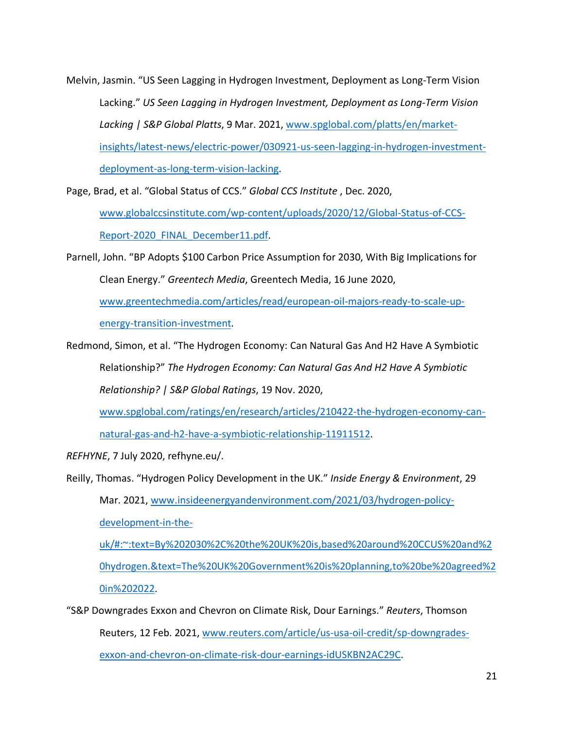Melvin, Jasmin. "US Seen Lagging in Hydrogen Investment, Deployment as Long-Term Vision Lacking." *US Seen Lagging in Hydrogen Investment, Deployment as Long-Term Vision Lacking | S&P Global Platts*, 9 Mar. 2021, www.spglobal.com/platts/en/marketinsights/latest-news/electric-power/030921-us-seen-lagging-in-hydrogen-investmentdeployment-as-long-term-vision-lacking.

Page, Brad, et al. "Global Status of CCS." *Global CCS Institute* , Dec. 2020,

www.globalccsinstitute.com/wp-content/uploads/2020/12/Global-Status-of-CCS-Report-2020\_FINAL\_December11.pdf.

Parnell, John. "BP Adopts \$100 Carbon Price Assumption for 2030, With Big Implications for Clean Energy." *Greentech Media*, Greentech Media, 16 June 2020, www.greentechmedia.com/articles/read/european-oil-majors-ready-to-scale-upenergy-transition-investment.

Redmond, Simon, et al. "The Hydrogen Economy: Can Natural Gas And H2 Have A Symbiotic Relationship?" *The Hydrogen Economy: Can Natural Gas And H2 Have A Symbiotic Relationship? | S&P Global Ratings*, 19 Nov. 2020,

www.spglobal.com/ratings/en/research/articles/210422-the-hydrogen-economy-can-

natural-gas-and-h2-have-a-symbiotic-relationship-11911512.

*REFHYNE*, 7 July 2020, refhyne.eu/.

Reilly, Thomas. "Hydrogen Policy Development in the UK." *Inside Energy & Environment*, 29 Mar. 2021, www.insideenergyandenvironment.com/2021/03/hydrogen-policydevelopment-in-theuk/#:~:text=By%202030%2C%20the%20UK%20is,based%20around%20CCUS%20and%2 0hydrogen.&text=The%20UK%20Government%20is%20planning,to%20be%20agreed%2 0in%202022.

"S&P Downgrades Exxon and Chevron on Climate Risk, Dour Earnings." *Reuters*, Thomson Reuters, 12 Feb. 2021, www.reuters.com/article/us-usa-oil-credit/sp-downgradesexxon-and-chevron-on-climate-risk-dour-earnings-idUSKBN2AC29C.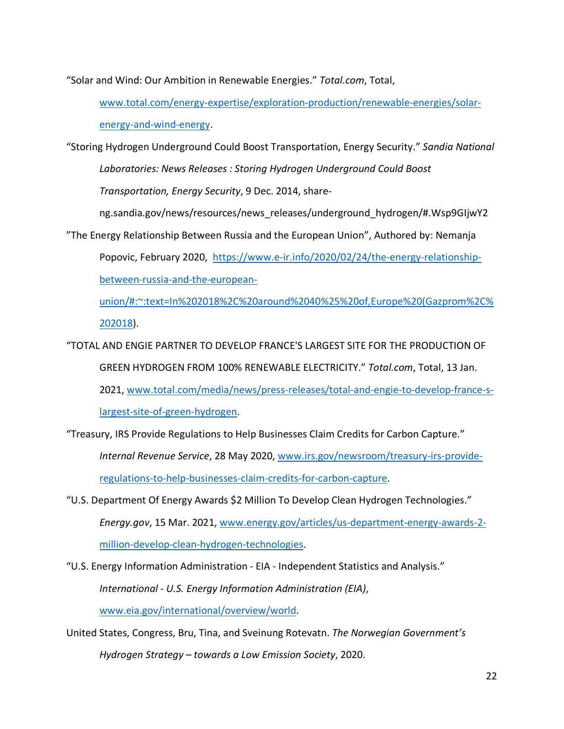"Solar and Wind: Our Ambition in Renewable Energies." *Total.com*, Total,

www.total.com/energy-expertise/exploration-production/renewable-energies/solarenergy-and-wind-energy.

"Storing Hydrogen Underground Could Boost Transportation, Energy Security." *Sandia National Laboratories: News Releases : Storing Hydrogen Underground Could Boost Transportation, Energy Security*, 9 Dec. 2014, share-

ng.sandia.gov/news/resources/news\_releases/underground\_hydrogen/#.Wsp9GIjwY2

"The Energy Relationship Between Russia and the European Union", Authored by: Nemanja

Popovic, February 2020, https://www.e-ir.info/2020/02/24/the-energy-relationshipbetween-russia-and-the-european-

union/#:~:text=In%202018%2C%20around%2040%25%20of,Europe%20(Gazprom%2C% 202018).

"TOTAL AND ENGIE PARTNER TO DEVELOP FRANCE'S LARGEST SITE FOR THE PRODUCTION OF GREEN HYDROGEN FROM 100% RENEWABLE ELECTRICITY." *Total.com*, Total, 13 Jan. 2021, www.total.com/media/news/press-releases/total-and-engie-to-develop-france-slargest-site-of-green-hydrogen.

"Treasury, IRS Provide Regulations to Help Businesses Claim Credits for Carbon Capture." *Internal Revenue Service*, 28 May 2020, www.irs.gov/newsroom/treasury-irs-provideregulations-to-help-businesses-claim-credits-for-carbon-capture.

"U.S. Department Of Energy Awards \$2 Million To Develop Clean Hydrogen Technologies." *Energy.gov*, 15 Mar. 2021, www.energy.gov/articles/us-department-energy-awards-2 million-develop-clean-hydrogen-technologies.

"U.S. Energy Information Administration - EIA - Independent Statistics and Analysis."

*International - U.S. Energy Information Administration (EIA)*,

www.eia.gov/international/overview/world.

United States, Congress, Bru, Tina, and Sveinung Rotevatn. *The Norwegian Government's Hydrogen Strategy – towards a Low Emission Society*, 2020.